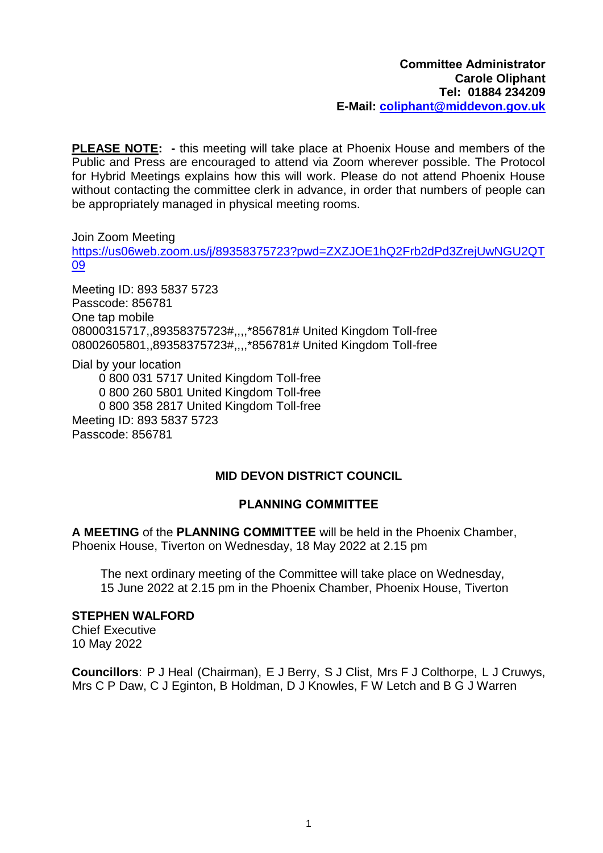**PLEASE NOTE: -** this meeting will take place at Phoenix House and members of the Public and Press are encouraged to attend via Zoom wherever possible. The Protocol for Hybrid Meetings explains how this will work. Please do not attend Phoenix House without contacting the committee clerk in advance, in order that numbers of people can be appropriately managed in physical meeting rooms.

Join Zoom Meeting [https://us06web.zoom.us/j/89358375723?pwd=ZXZJOE1hQ2Frb2dPd3ZrejUwNGU2QT](https://us06web.zoom.us/j/89358375723?pwd=ZXZJOE1hQ2Frb2dPd3ZrejUwNGU2QT09) [09](https://us06web.zoom.us/j/89358375723?pwd=ZXZJOE1hQ2Frb2dPd3ZrejUwNGU2QT09)

Meeting ID: 893 5837 5723 Passcode: 856781 One tap mobile 08000315717,,89358375723#,,,,\*856781# United Kingdom Toll-free 08002605801,,89358375723#,,,,\*856781# United Kingdom Toll-free

Dial by your location

0 800 031 5717 United Kingdom Toll-free

0 800 260 5801 United Kingdom Toll-free

0 800 358 2817 United Kingdom Toll-free

Meeting ID: 893 5837 5723 Passcode: 856781

# **MID DEVON DISTRICT COUNCIL**

# **PLANNING COMMITTEE**

**A MEETING** of the **PLANNING COMMITTEE** will be held in the Phoenix Chamber, Phoenix House, Tiverton on Wednesday, 18 May 2022 at 2.15 pm

The next ordinary meeting of the Committee will take place on Wednesday, 15 June 2022 at 2.15 pm in the Phoenix Chamber, Phoenix House, Tiverton

# **STEPHEN WALFORD**

Chief Executive 10 May 2022

**Councillors**: P J Heal (Chairman), E J Berry, S J Clist, Mrs F J Colthorpe, L J Cruwys, Mrs C P Daw, C J Eginton, B Holdman, D J Knowles, F W Letch and B G J Warren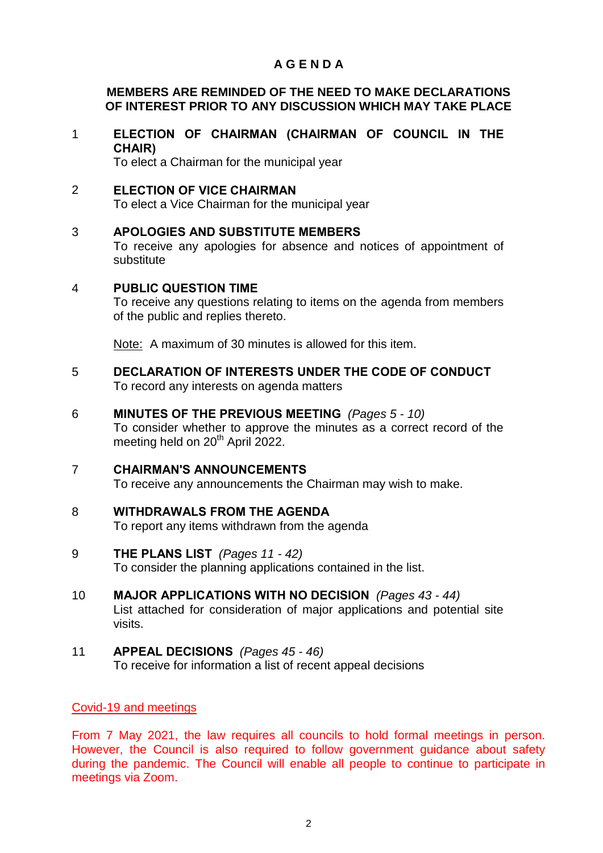# **A G E N D A**

## **MEMBERS ARE REMINDED OF THE NEED TO MAKE DECLARATIONS OF INTEREST PRIOR TO ANY DISCUSSION WHICH MAY TAKE PLACE**

1 **ELECTION OF CHAIRMAN (CHAIRMAN OF COUNCIL IN THE CHAIR)** 

To elect a Chairman for the municipal year

2 **ELECTION OF VICE CHAIRMAN** 

To elect a Vice Chairman for the municipal year

## 3 **APOLOGIES AND SUBSTITUTE MEMBERS**

To receive any apologies for absence and notices of appointment of substitute

#### 4 **PUBLIC QUESTION TIME**

To receive any questions relating to items on the agenda from members of the public and replies thereto.

Note: A maximum of 30 minutes is allowed for this item.

5 **DECLARATION OF INTERESTS UNDER THE CODE OF CONDUCT**  To record any interests on agenda matters

#### 6 **MINUTES OF THE PREVIOUS MEETING** *(Pages 5 - 10)*

To consider whether to approve the minutes as a correct record of the meeting held on 20<sup>th</sup> April 2022.

#### 7 **CHAIRMAN'S ANNOUNCEMENTS**

To receive any announcements the Chairman may wish to make.

8 **WITHDRAWALS FROM THE AGENDA**  To report any items withdrawn from the agenda

# 9 **THE PLANS LIST** *(Pages 11 - 42)*

To consider the planning applications contained in the list.

- 10 **MAJOR APPLICATIONS WITH NO DECISION** *(Pages 43 - 44)* List attached for consideration of major applications and potential site visits.
- 11 **APPEAL DECISIONS** *(Pages 45 - 46)* To receive for information a list of recent appeal decisions

#### Covid-19 and meetings

From 7 May 2021, the law requires all councils to hold formal meetings in person. However, the Council is also required to follow government guidance about safety during the pandemic. The Council will enable all people to continue to participate in meetings via Zoom.